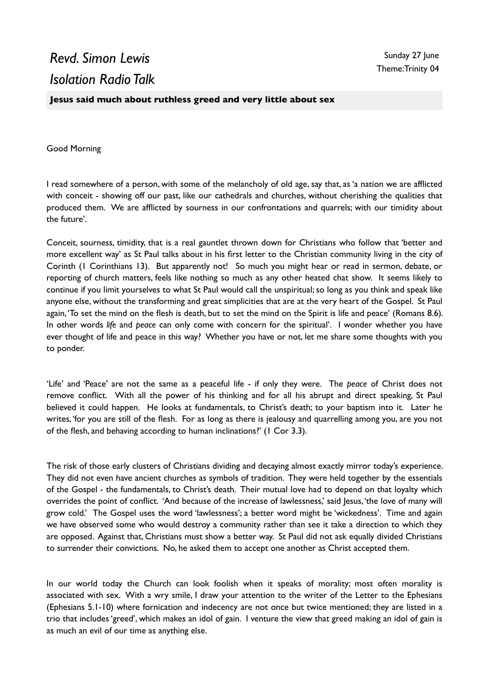## *Revd. Simon Lewis Isolation Radio Talk*

**Jesus said much about ruthless greed and very little about sex**

Good Morning

I read somewhere of a person, with some of the melancholy of old age, say that, as 'a nation we are afflicted with conceit - showing off our past, like our cathedrals and churches, without cherishing the qualities that produced them. We are afflicted by sourness in our confrontations and quarrels; with our timidity about the future'.

Conceit, sourness, timidity, that is a real gauntlet thrown down for Christians who follow that 'better and more excellent way' as St Paul talks about in his first letter to the Christian community living in the city of Corinth (1 Corinthians 13). But apparently not! So much you might hear or read in sermon, debate, or reporting of church matters, feels like nothing so much as any other heated chat show. It seems likely to continue if you limit yourselves to what St Paul would call the unspiritual; so long as you think and speak like anyone else, without the transforming and great simplicities that are at the very heart of the Gospel. St Paul again, 'To set the mind on the flesh is death, but to set the mind on the Spirit is life and peace' (Romans 8.6). In other words *life* and *peace* can only come with concern for the spiritual'. I wonder whether you have ever thought of life and peace in this way? Whether you have or not, let me share some thoughts with you to ponder.

'Life' and 'Peace' are not the same as a peaceful life - if only they were. The *peace* of Christ does not remove conflict. With all the power of his thinking and for all his abrupt and direct speaking, St Paul believed it could happen. He looks at fundamentals, to Christ's death; to your baptism into it. Later he writes, 'for you are still of the flesh. For as long as there is jealousy and quarrelling among you, are you not of the flesh, and behaving according to human inclinations?' (1 Cor 3.3).

The risk of those early clusters of Christians dividing and decaying almost exactly mirror today's experience. They did not even have ancient churches as symbols of tradition. They were held together by the essentials of the Gospel - the fundamentals, to Christ's death. Their mutual love had to depend on that loyalty which overrides the point of conflict. 'And because of the increase of lawlessness,' said Jesus, 'the love of many will grow cold.' The Gospel uses the word 'lawlessness'; a better word might be 'wickedness'. Time and again we have observed some who would destroy a community rather than see it take a direction to which they are opposed. Against that, Christians must show a better way. St Paul did not ask equally divided Christians to surrender their convictions. No, he asked them to accept one another as Christ accepted them.

In our world today the Church can look foolish when it speaks of morality; most often morality is associated with sex. With a wry smile, I draw your attention to the writer of the Letter to the Ephesians (Ephesians 5.1-10) where fornication and indecency are not once but twice mentioned; they are listed in a trio that includes 'greed', which makes an idol of gain. I venture the view that greed making an idol of gain is as much an evil of our time as anything else.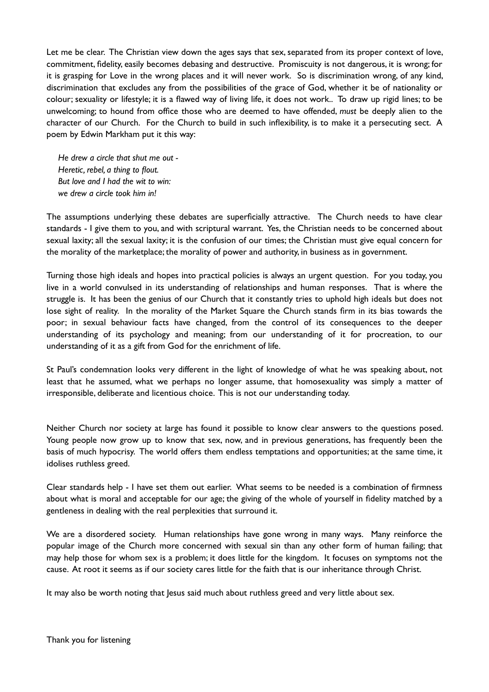Let me be clear. The Christian view down the ages says that sex, separated from its proper context of love, commitment, fidelity, easily becomes debasing and destructive. Promiscuity is not dangerous, it is wrong; for it is grasping for Love in the wrong places and it will never work. So is discrimination wrong, of any kind, discrimination that excludes any from the possibilities of the grace of God, whether it be of nationality or colour; sexuality or lifestyle; it is a flawed way of living life, it does not work.. To draw up rigid lines; to be unwelcoming; to hound from office those who are deemed to have offended, *must* be deeply alien to the character of our Church. For the Church to build in such inflexibility, is to make it a persecuting sect. A poem by Edwin Markham put it this way:

*He drew a circle that shut me out - Heretic, rebel, a thing to flout. But love and I had the wit to win: we drew a circle took him in!*

The assumptions underlying these debates are superficially attractive. The Church needs to have clear standards - I give them to you, and with scriptural warrant. Yes, the Christian needs to be concerned about sexual laxity; all the sexual laxity; it is the confusion of our times; the Christian must give equal concern for the morality of the marketplace; the morality of power and authority, in business as in government.

Turning those high ideals and hopes into practical policies is always an urgent question. For you today, you live in a world convulsed in its understanding of relationships and human responses. That is where the struggle is. It has been the genius of our Church that it constantly tries to uphold high ideals but does not lose sight of reality. In the morality of the Market Square the Church stands firm in its bias towards the poor; in sexual behaviour facts have changed, from the control of its consequences to the deeper understanding of its psychology and meaning; from our understanding of it for procreation, to our understanding of it as a gift from God for the enrichment of life.

St Paul's condemnation looks very different in the light of knowledge of what he was speaking about, not least that he assumed, what we perhaps no longer assume, that homosexuality was simply a matter of irresponsible, deliberate and licentious choice. This is not our understanding today.

Neither Church nor society at large has found it possible to know clear answers to the questions posed. Young people now grow up to know that sex, now, and in previous generations, has frequently been the basis of much hypocrisy. The world offers them endless temptations and opportunities; at the same time, it idolises ruthless greed.

Clear standards help - I have set them out earlier. What seems to be needed is a combination of firmness about what is moral and acceptable for our age; the giving of the whole of yourself in fidelity matched by a gentleness in dealing with the real perplexities that surround it.

We are a disordered society. Human relationships have gone wrong in many ways. Many reinforce the popular image of the Church more concerned with sexual sin than any other form of human failing; that may help those for whom sex is a problem; it does little for the kingdom. It focuses on symptoms not the cause. At root it seems as if our society cares little for the faith that is our inheritance through Christ.

It may also be worth noting that Jesus said much about ruthless greed and very little about sex.